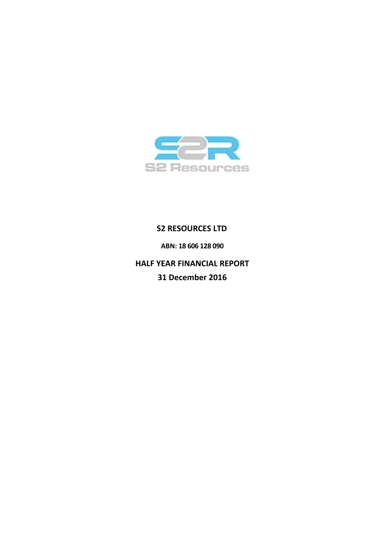

# **S2 RESOURCES LTD**

**ABN: 18 606 128 090**

**HALF YEAR FINANCIAL REPORT 31 December 2016**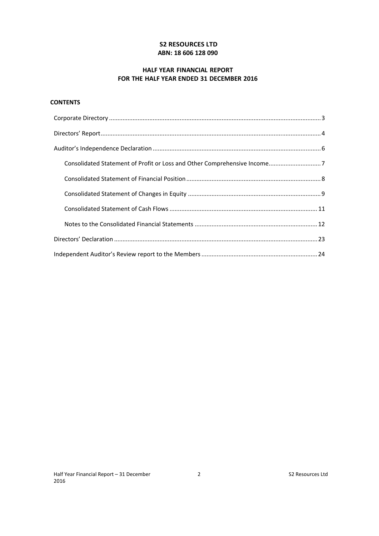# **S2 RESOURCES LTD ABN: 18 606 128 090**

# **HALF YEAR FINANCIAL REPORT FOR THE HALF YEAR ENDED 31 DECEMBER 2016**

# **CONTENTS**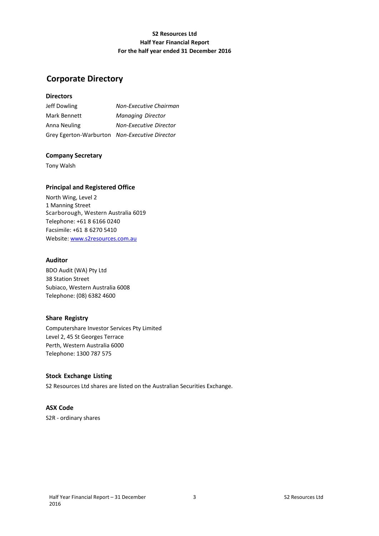# **S2 Resources Ltd Half Year Financial Report For the half year ended 31 December 2016**

# **Corporate Directory**

# **Directors**

| Jeff Dowling                                  | Non-Executive Chairman        |
|-----------------------------------------------|-------------------------------|
| Mark Bennett                                  | Managing Director             |
| Anna Neuling                                  | <b>Non-Executive Director</b> |
| Grey Egerton-Warburton Non-Executive Director |                               |

# **Company Secretary**

Tony Walsh

# **Principal and Registered Office**

North Wing, Level 2 1 Manning Street Scarborough, Western Australia 6019 Telephone: +61 8 6166 0240 Facsimile: +61 8 6270 5410 Website: www.s2resources.com.au

## **Auditor**

BDO Audit (WA) Pty Ltd 38 Station Street Subiaco, Western Australia 6008 Telephone: (08) 6382 4600

## **Share Registry**

Computershare Investor Services Pty Limited Level 2, 45 St Georges Terrace Perth, Western Australia 6000 Telephone: 1300 787 575

## **Stock Exchange Listing**

S2 Resources Ltd shares are listed on the Australian Securities Exchange.

# **ASX Code**

S2R ‐ ordinary shares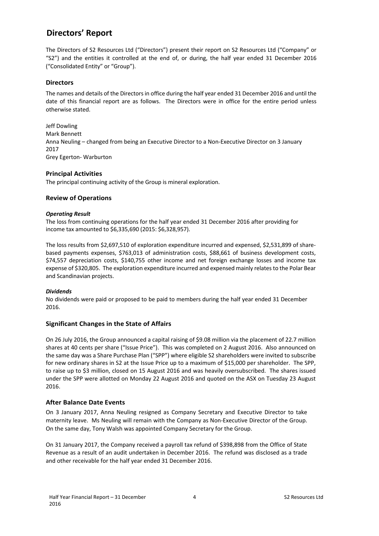# **Directors' Report**

The Directors of S2 Resources Ltd ("Directors") present their report on S2 Resources Ltd ("Company" or "S2") and the entities it controlled at the end of, or during, the half year ended 31 December 2016 ("Consolidated Entity" or "Group").

## **Directors**

The names and details of the Directors in office during the half year ended 31 December 2016 and until the date of this financial report are as follows. The Directors were in office for the entire period unless otherwise stated.

Jeff Dowling Mark Bennett Anna Neuling – changed from being an Executive Director to a Non‐Executive Director on 3 January 2017 Grey Egerton‐ Warburton

## **Principal Activities**

The principal continuing activity of the Group is mineral exploration.

## **Review of Operations**

### *Operating Result*

The loss from continuing operations for the half year ended 31 December 2016 after providing for income tax amounted to \$6,335,690 (2015: \$6,328,957).

The loss results from \$2,697,510 of exploration expenditure incurred and expensed, \$2,531,899 of sharebased payments expenses, \$763,013 of administration costs, \$88,661 of business development costs, \$74,557 depreciation costs, \$140,755 other income and net foreign exchange losses and income tax expense of \$320,805. The exploration expenditure incurred and expensed mainly relates to the Polar Bear and Scandinavian projects.

## *Dividends*

No dividends were paid or proposed to be paid to members during the half year ended 31 December 2016.

## **Significant Changes in the State of Affairs**

On 26 July 2016, the Group announced a capital raising of \$9.08 million via the placement of 22.7 million shares at 40 cents per share ("Issue Price"). This was completed on 2 August 2016. Also announced on the same day was a Share Purchase Plan ("SPP") where eligible S2 shareholders were invited to subscribe for new ordinary shares in S2 at the Issue Price up to a maximum of \$15,000 per shareholder. The SPP, to raise up to \$3 million, closed on 15 August 2016 and was heavily oversubscribed. The shares issued under the SPP were allotted on Monday 22 August 2016 and quoted on the ASX on Tuesday 23 August 2016.

## **After Balance Date Events**

On 3 January 2017, Anna Neuling resigned as Company Secretary and Executive Director to take maternity leave. Ms Neuling will remain with the Company as Non‐Executive Director of the Group. On the same day, Tony Walsh was appointed Company Secretary for the Group.

On 31 January 2017, the Company received a payroll tax refund of \$398,898 from the Office of State Revenue as a result of an audit undertaken in December 2016. The refund was disclosed as a trade and other receivable for the half year ended 31 December 2016.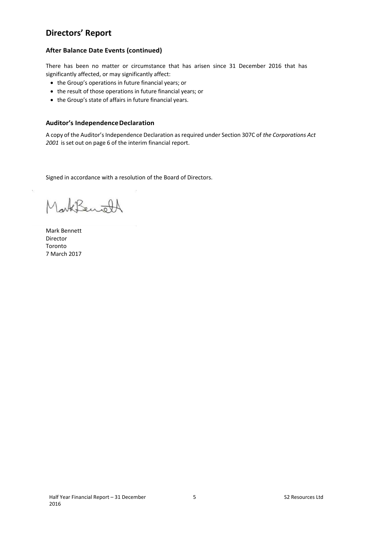# **Directors' Report**

# **After Balance Date Events (continued)**

There has been no matter or circumstance that has arisen since 31 December 2016 that has significantly affected, or may significantly affect:

- the Group's operations in future financial years; or
- the result of those operations in future financial years; or
- the Group's state of affairs in future financial years.

### **Auditor's Independence Declaration**

A copy of the Auditor's Independence Declaration as required under Section 307C of *the Corporations Act 2001*  is set out on page 6 of the interim financial report.

Signed in accordance with a resolution of the Board of Directors.

Lark Benjold

Mark Bennett Director Toronto 7 March 2017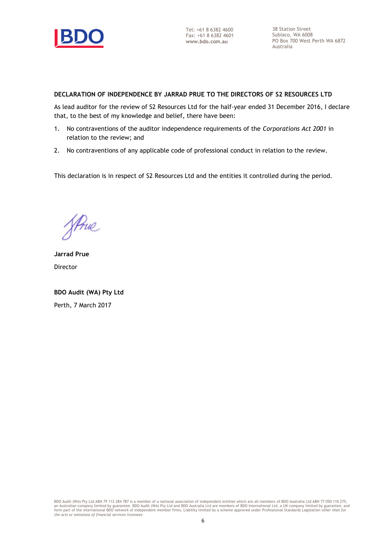

Tel: +61 8 6382 4600 Fax: +61 8 6382 4601 **www.bdo.com.au**

38 Station Street Subiaco, WA 6008 PO Box 700 West Perth WA 6872 Australia

# **DECLARATION OF INDEPENDENCE BY JARRAD PRUE TO THE DIRECTORS OF S2 RESOURCES LTD**

As lead auditor for the review of S2 Resources Ltd for the half-year ended 31 December 2016, I declare that, to the best of my knowledge and belief, there have been:

- 1. No contraventions of the auditor independence requirements of the *Corporations Act 2001* in relation to the review; and
- 2. No contraventions of any applicable code of professional conduct in relation to the review.

This declaration is in respect of S2 Resources Ltd and the entities it controlled during the period.

Strue

**Jarrad Prue** Director

**BDO Audit (WA) Pty Ltd** Perth, 7 March 2017

BDO Audit (WA) Pty Ltd ABN 79 112 284 787 is a member of a national association of independent entities which are all members of BDO Australia Ltd ABN 77 050 110 275,<br>an Australian company limited by guarantee. BDO Audit (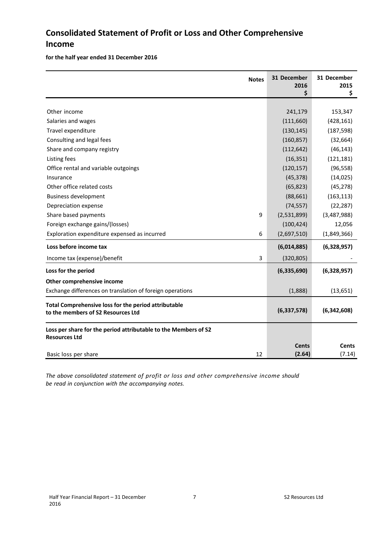# **Consolidated Statement of Profit or Loss and Other Comprehensive Income**

**for the half year ended 31 December 2016** 

| <b>Notes</b>                                                                               |   | 31 December<br>2016<br>\$ | 31 December<br>2015<br>\$ |
|--------------------------------------------------------------------------------------------|---|---------------------------|---------------------------|
|                                                                                            |   |                           |                           |
| Other income                                                                               |   | 241,179                   | 153,347                   |
| Salaries and wages                                                                         |   | (111,660)                 | (428, 161)                |
| Travel expenditure                                                                         |   | (130, 145)                | (187, 598)                |
| Consulting and legal fees                                                                  |   | (160, 857)                | (32, 664)                 |
| Share and company registry                                                                 |   | (112, 642)                | (46, 143)                 |
| Listing fees                                                                               |   | (16, 351)                 | (121, 181)                |
| Office rental and variable outgoings                                                       |   | (120, 157)                | (96, 558)                 |
| Insurance                                                                                  |   | (45, 378)                 | (14, 025)                 |
| Other office related costs                                                                 |   | (65, 823)                 | (45, 278)                 |
| <b>Business development</b>                                                                |   | (88, 661)                 | (163, 113)                |
| Depreciation expense                                                                       |   | (74, 557)                 | (22, 287)                 |
| Share based payments                                                                       | 9 | (2,531,899)               | (3,487,988)               |
| Foreign exchange gains/(losses)                                                            |   | (100, 424)                | 12,056                    |
| Exploration expenditure expensed as incurred                                               | 6 | (2,697,510)               | (1,849,366)               |
| Loss before income tax                                                                     |   | (6,014,885)               | (6,328,957)               |
| Income tax (expense)/benefit                                                               | 3 | (320, 805)                |                           |
| Loss for the period                                                                        |   | (6, 335, 690)             | (6,328,957)               |
| Other comprehensive income                                                                 |   |                           |                           |
| Exchange differences on translation of foreign operations                                  |   | (1,888)                   | (13, 651)                 |
| Total Comprehensive loss for the period attributable<br>to the members of S2 Resources Ltd |   | (6, 337, 578)             | (6,342,608)               |
| Loss per share for the period attributable to the Members of S2<br><b>Resources Ltd</b>    |   |                           |                           |
| 12<br>Basic loss per share                                                                 |   | <b>Cents</b><br>(2.64)    | <b>Cents</b><br>(7.14)    |

*The above consolidated statement of profit or loss and other comprehensive income should be read in conjunction with the accompanying notes.*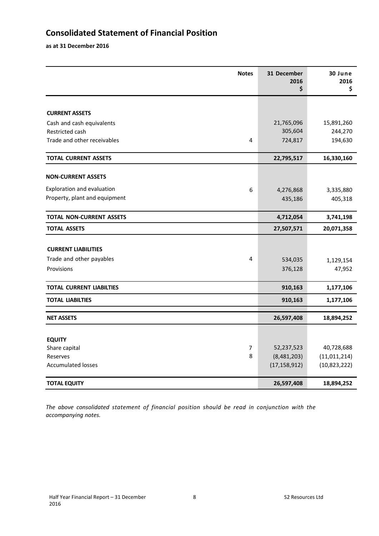# **Consolidated Statement of Financial Position**

**as at 31 December 2016** 

| <b>Notes</b>                     | 31 December<br>2016<br>\$ | 30 June<br>2016<br>\$ |
|----------------------------------|---------------------------|-----------------------|
|                                  |                           |                       |
| <b>CURRENT ASSETS</b>            |                           |                       |
| Cash and cash equivalents        | 21,765,096                | 15,891,260            |
| Restricted cash                  | 305,604                   | 244,270               |
| Trade and other receivables<br>4 | 724,817                   | 194,630               |
| <b>TOTAL CURRENT ASSETS</b>      | 22,795,517                | 16,330,160            |
| <b>NON-CURRENT ASSETS</b>        |                           |                       |
| Exploration and evaluation<br>6  | 4,276,868                 | 3,335,880             |
| Property, plant and equipment    | 435,186                   | 405,318               |
| <b>TOTAL NON-CURRENT ASSETS</b>  | 4,712,054                 | 3,741,198             |
| <b>TOTAL ASSETS</b>              | 27,507,571                | 20,071,358            |
| <b>CURRENT LIABILITIES</b>       |                           |                       |
| Trade and other payables<br>4    | 534,035                   | 1,129,154             |
| Provisions                       | 376,128                   | 47,952                |
| <b>TOTAL CURRENT LIABILTIES</b>  | 910,163                   | 1,177,106             |
| <b>TOTAL LIABILTIES</b>          | 910,163                   | 1,177,106             |
| <b>NET ASSETS</b>                | 26,597,408                | 18,894,252            |
|                                  |                           |                       |
| <b>EQUITY</b>                    |                           |                       |
| $\overline{7}$<br>Share capital  | 52,237,523                | 40,728,688            |
| 8<br>Reserves                    | (8,481,203)               | (11, 011, 214)        |
| <b>Accumulated losses</b>        | (17, 158, 912)            | (10, 823, 222)        |
| <b>TOTAL EQUITY</b>              | 26,597,408                | 18,894,252            |

*The above consolidated statement of financial position should be read in conjunction with the accompanying notes.*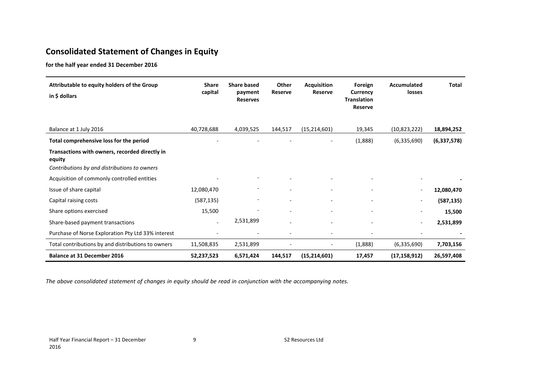# **Consolidated Statement of Changes in Equity**

**for the half year ended 31 December 2016** 

| Attributable to equity holders of the Group<br>in \$ dollars                                             | <b>Share</b><br>capital  | <b>Share based</b><br>payment<br><b>Reserves</b> | Other<br><b>Reserve</b>  | <b>Acquisition</b><br><b>Reserve</b> | Foreign<br>Currency<br><b>Translation</b><br><b>Reserve</b> | Accumulated<br>losses | <b>Total</b>  |
|----------------------------------------------------------------------------------------------------------|--------------------------|--------------------------------------------------|--------------------------|--------------------------------------|-------------------------------------------------------------|-----------------------|---------------|
| Balance at 1 July 2016                                                                                   | 40,728,688               | 4,039,525                                        | 144,517                  | (15, 214, 601)                       | 19,345                                                      | (10,823,222)          | 18,894,252    |
| Total comprehensive loss for the period                                                                  |                          |                                                  |                          |                                      | (1,888)                                                     | (6,335,690)           | (6, 337, 578) |
| Transactions with owners, recorded directly in<br>equity<br>Contributions by and distributions to owners |                          |                                                  |                          |                                      |                                                             |                       |               |
| Acquisition of commonly controlled entities                                                              |                          |                                                  |                          |                                      |                                                             |                       |               |
| Issue of share capital                                                                                   | 12,080,470               |                                                  |                          |                                      |                                                             |                       | 12,080,470    |
| Capital raising costs                                                                                    | (587, 135)               |                                                  | $\overline{\phantom{a}}$ |                                      |                                                             |                       | (587, 135)    |
| Share options exercised                                                                                  | 15,500                   |                                                  | $\overline{\phantom{a}}$ |                                      |                                                             |                       | 15,500        |
| Share-based payment transactions                                                                         | $\overline{\phantom{a}}$ | 2,531,899                                        | $\overline{\phantom{a}}$ |                                      |                                                             |                       | 2,531,899     |
| Purchase of Norse Exploration Pty Ltd 33% interest                                                       | $\overline{a}$           |                                                  |                          |                                      |                                                             |                       |               |
| Total contributions by and distributions to owners                                                       | 11,508,835               | 2,531,899                                        |                          |                                      | (1,888)                                                     | (6,335,690)           | 7,703,156     |
| <b>Balance at 31 December 2016</b>                                                                       | 52,237,523               | 6,571,424                                        | 144,517                  | (15, 214, 601)                       | 17,457                                                      | (17, 158, 912)        | 26,597,408    |

*The above consolidated statement of changes in equity should be read in conjunction with the accompanying notes.*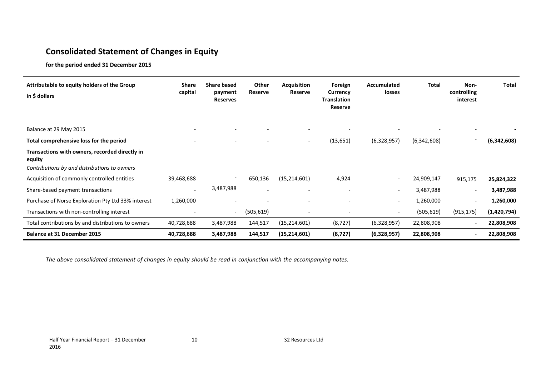# **Consolidated Statement of Changes in Equity**

**for the period ended 31 December 2015** 

| Attributable to equity holders of the Group<br>in $$$ dollars                                            | <b>Share</b><br>capital  | <b>Share based</b><br>payment<br><b>Reserves</b> | Other<br>Reserve         | <b>Acquisition</b><br>Reserve | Foreign<br>Currency<br><b>Translation</b><br>Reserve | <b>Accumulated</b><br>losses | <b>Total</b>             | Non-<br>controlling<br>interest | <b>Total</b> |
|----------------------------------------------------------------------------------------------------------|--------------------------|--------------------------------------------------|--------------------------|-------------------------------|------------------------------------------------------|------------------------------|--------------------------|---------------------------------|--------------|
| Balance at 29 May 2015                                                                                   | $\overline{\phantom{a}}$ | $\overline{\phantom{a}}$                         | $\overline{\phantom{0}}$ | $\overline{\phantom{a}}$      | $\overline{\phantom{a}}$                             |                              | $\overline{\phantom{0}}$ | $\overline{\phantom{a}}$        |              |
| Total comprehensive loss for the period                                                                  |                          |                                                  |                          | $\overline{\phantom{a}}$      | (13, 651)                                            | (6,328,957)                  | (6,342,608)              |                                 | (6,342,608)  |
| Transactions with owners, recorded directly in<br>equity<br>Contributions by and distributions to owners |                          |                                                  |                          |                               |                                                      |                              |                          |                                 |              |
| Acquisition of commonly controlled entities                                                              | 39,468,688               | $\overline{\phantom{a}}$                         | 650,136                  | (15, 214, 601)                | 4,924                                                | $\overline{\phantom{a}}$     | 24,909,147               | 915,175                         | 25,824,322   |
| Share-based payment transactions                                                                         |                          | 3,487,988                                        |                          | $\overline{\phantom{0}}$      | $\overline{\phantom{a}}$                             | $\overline{\phantom{a}}$     | 3,487,988                | $\overline{\phantom{a}}$        | 3,487,988    |
| Purchase of Norse Exploration Pty Ltd 33% interest                                                       | 1,260,000                | $\overline{\phantom{0}}$                         |                          | $\overline{\phantom{a}}$      | $\overline{\phantom{0}}$                             | $\overline{\phantom{a}}$     | 1,260,000                | $\overline{\phantom{a}}$        | 1,260,000    |
| Transactions with non-controlling interest                                                               |                          | $\overline{\phantom{a}}$                         | (505, 619)               | $\overline{\phantom{a}}$      | $\overline{\phantom{a}}$                             | $\overline{\phantom{a}}$     | (505, 619)               | (915, 175)                      | (1,420,794)  |
| Total contributions by and distributions to owners                                                       | 40,728,688               | 3,487,988                                        | 144,517                  | (15, 214, 601)                | (8, 727)                                             | (6,328,957)                  | 22,808,908               | $\overline{\phantom{a}}$        | 22,808,908   |
| <b>Balance at 31 December 2015</b>                                                                       | 40,728,688               | 3,487,988                                        | 144,517                  | (15, 214, 601)                | (8, 727)                                             | (6,328,957)                  | 22,808,908               | $\overline{\phantom{a}}$        | 22,808,908   |

*The above consolidated statement of changes in equity should be read in conjunction with the accompanying notes.*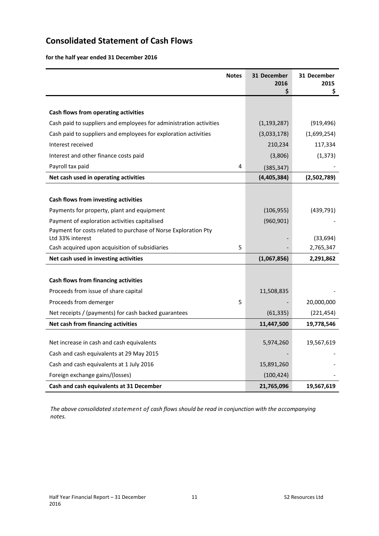# **Consolidated Statement of Cash Flows**

**for the half year ended 31 December 2016** 

|                                                                                    | <b>Notes</b> | 31 December<br>2016<br>\$ | 31 December<br>2015<br>\$ |
|------------------------------------------------------------------------------------|--------------|---------------------------|---------------------------|
|                                                                                    |              |                           |                           |
| Cash flows from operating activities                                               |              |                           |                           |
| Cash paid to suppliers and employees for administration activities                 |              | (1, 193, 287)             | (919, 496)                |
| Cash paid to suppliers and employees for exploration activities                    |              | (3,033,178)               | (1,699,254)               |
| Interest received                                                                  |              | 210,234                   | 117,334                   |
| Interest and other finance costs paid                                              |              | (3,806)                   | (1, 373)                  |
| Payroll tax paid                                                                   | 4            | (385, 347)                |                           |
| Net cash used in operating activities                                              |              | (4,405,384)               | (2,502,789)               |
|                                                                                    |              |                           |                           |
| Cash flows from investing activities                                               |              |                           |                           |
| Payments for property, plant and equipment                                         |              | (106, 955)                | (439, 791)                |
| Payment of exploration activities capitalised                                      |              | (960, 901)                |                           |
| Payment for costs related to purchase of Norse Exploration Pty<br>Ltd 33% interest |              |                           | (33, 694)                 |
| Cash acquired upon acquisition of subsidiaries                                     | 5            |                           | 2,765,347                 |
| Net cash used in investing activities                                              |              | (1,067,856)               | 2,291,862                 |
|                                                                                    |              |                           |                           |
| Cash flows from financing activities                                               |              |                           |                           |
| Proceeds from issue of share capital                                               |              | 11,508,835                |                           |
| Proceeds from demerger                                                             | 5            |                           | 20,000,000                |
| Net receipts / (payments) for cash backed guarantees                               |              | (61, 335)                 | (221, 454)                |
| Net cash from financing activities                                                 |              | 11,447,500                | 19,778,546                |
|                                                                                    |              |                           |                           |
| Net increase in cash and cash equivalents                                          |              | 5,974,260                 | 19,567,619                |
| Cash and cash equivalents at 29 May 2015                                           |              |                           |                           |
| Cash and cash equivalents at 1 July 2016                                           |              | 15,891,260                |                           |
| Foreign exchange gains/(losses)                                                    |              | (100, 424)                |                           |
| Cash and cash equivalents at 31 December                                           |              | 21,765,096                | 19,567,619                |

*The above consolidated statement of cash flows should be read in conjunction with the accompanying notes.*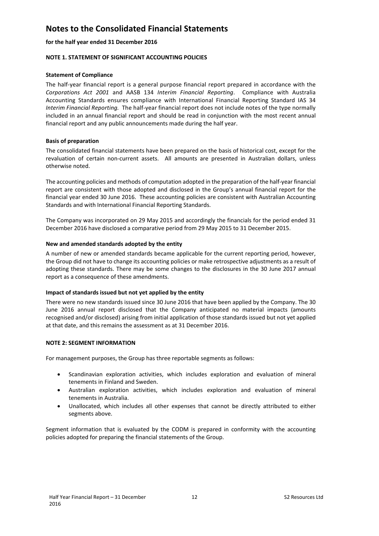### **for the half year ended 31 December 2016**

### **NOTE 1. STATEMENT OF SIGNIFICANT ACCOUNTING POLICIES**

### **Statement of Compliance**

The half‐year financial report is a general purpose financial report prepared in accordance with the *Corporations Act 2001* and AASB 134 *Interim Financial Reporting*. Compliance with Australia Accounting Standards ensures compliance with International Financial Reporting Standard IAS 34 *Interim Financial Reporting.* The half‐year financial report does not include notes of the type normally included in an annual financial report and should be read in conjunction with the most recent annual financial report and any public announcements made during the half year.

### **Basis of preparation**

The consolidated financial statements have been prepared on the basis of historical cost, except for the revaluation of certain non-current assets. All amounts are presented in Australian dollars, unless otherwise noted.

The accounting policies and methods of computation adopted in the preparation of the half‐year financial report are consistent with those adopted and disclosed in the Group's annual financial report for the financial year ended 30 June 2016. These accounting policies are consistent with Australian Accounting Standards and with International Financial Reporting Standards.

The Company was incorporated on 29 May 2015 and accordingly the financials for the period ended 31 December 2016 have disclosed a comparative period from 29 May 2015 to 31 December 2015.

### **New and amended standards adopted by the entity**

A number of new or amended standards became applicable for the current reporting period, however, the Group did not have to change its accounting policies or make retrospective adjustments as a result of adopting these standards. There may be some changes to the disclosures in the 30 June 2017 annual report as a consequence of these amendments.

### **Impact of standards issued but not yet applied by the entity**

There were no new standards issued since 30 June 2016 that have been applied by the Company. The 30 June 2016 annual report disclosed that the Company anticipated no material impacts (amounts recognised and/or disclosed) arising from initial application of those standards issued but not yet applied at that date, and this remains the assessment as at 31 December 2016.

### **NOTE 2: SEGMENT INFORMATION**

For management purposes, the Group has three reportable segments as follows:

- Scandinavian exploration activities, which includes exploration and evaluation of mineral tenements in Finland and Sweden.
- Australian exploration activities, which includes exploration and evaluation of mineral tenements in Australia.
- Unallocated, which includes all other expenses that cannot be directly attributed to either segments above.

Segment information that is evaluated by the CODM is prepared in conformity with the accounting policies adopted for preparing the financial statements of the Group.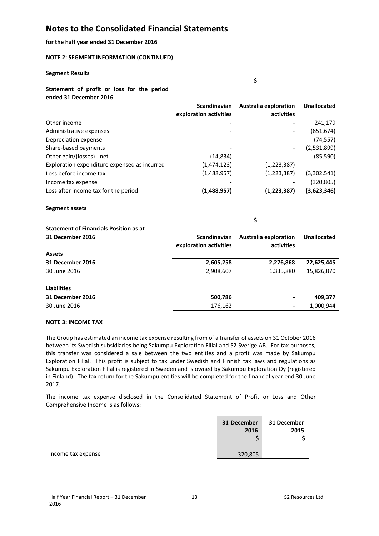### **for the half year ended 31 December 2016**

### **NOTE 2: SEGMENT INFORMATION (CONTINUED)**

#### **Segment Results**

**\$** 

### **Statement of profit or loss for the period ended 31 December 2016**

|                                              | <b>Scandinavian</b>    | <b>Australia exploration</b> | <b>Unallocated</b> |
|----------------------------------------------|------------------------|------------------------------|--------------------|
|                                              | exploration activities | activities                   |                    |
| Other income                                 |                        |                              | 241,179            |
| Administrative expenses                      |                        |                              | (851, 674)         |
| Depreciation expense                         |                        |                              | (74, 557)          |
| Share-based payments                         |                        | $\overline{\phantom{a}}$     | (2,531,899)        |
| Other gain/(losses) - net                    | (14, 834)              |                              | (85, 590)          |
| Exploration expenditure expensed as incurred | (1,474,123)            | (1,223,387)                  |                    |
| Loss before income tax                       | (1,488,957)            | (1,223,387)                  | (3,302,541)        |
| Income tax expense                           |                        |                              | (320, 805)         |
| Loss after income tax for the period         | (1,488,957)            | (1,223,387)                  | (3,623,346)        |

### **Segment assets**

**\$** 

| <b>Statement of Financials Position as at</b> |                                               |                                     |             |
|-----------------------------------------------|-----------------------------------------------|-------------------------------------|-------------|
| 31 December 2016                              | <b>Scandinavian</b><br>exploration activities | Australia exploration<br>activities | Unallocated |
| <b>Assets</b>                                 |                                               |                                     |             |
| 31 December 2016                              | 2,605,258                                     | 2,276,868                           | 22,625,445  |
| 30 June 2016                                  | 2,908,607                                     | 1,335,880                           | 15,826,870  |
| <b>Liabilities</b>                            |                                               |                                     |             |
| 31 December 2016                              | 500,786                                       |                                     | 409,377     |
| 30 June 2016                                  | 176,162                                       |                                     | 1,000,944   |

### **NOTE 3: INCOME TAX**

The Group has estimated an income tax expense resulting from of a transfer of assets on 31 October 2016 between its Swedish subsidiaries being Sakumpu Exploration Filial and S2 Sverige AB. For tax purposes, this transfer was considered a sale between the two entities and a profit was made by Sakumpu Exploration Filial. This profit is subject to tax under Swedish and Finnish tax laws and regulations as Sakumpu Exploration Filial is registered in Sweden and is owned by Sakumpu Exploration Oy (registered in Finland). The tax return for the Sakumpu entities will be completed for the financial year end 30 June 2017.

The income tax expense disclosed in the Consolidated Statement of Profit or Loss and Other Comprehensive Income is as follows:

|                    | 31 December<br>2016 | 31 December<br>2015 |
|--------------------|---------------------|---------------------|
| Income tax expense | 320,805             | -                   |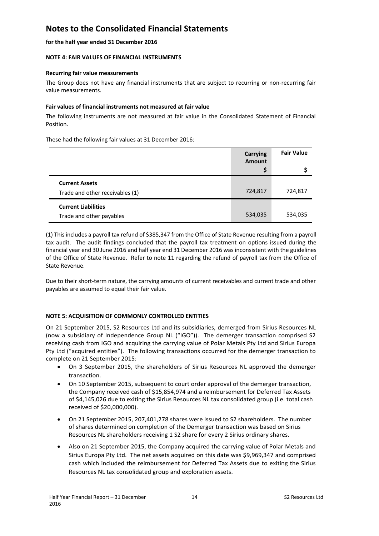### **for the half year ended 31 December 2016**

### **NOTE 4: FAIR VALUES OF FINANCIAL INSTRUMENTS**

### **Recurring fair value measurements**

The Group does not have any financial instruments that are subject to recurring or non-recurring fair value measurements.

### **Fair values of financial instruments not measured at fair value**

The following instruments are not measured at fair value in the Consolidated Statement of Financial Position.

These had the following fair values at 31 December 2016:

|                                 | Carrying<br><b>Amount</b> | <b>Fair Value</b> |
|---------------------------------|---------------------------|-------------------|
|                                 |                           |                   |
| <b>Current Assets</b>           |                           |                   |
| Trade and other receivables (1) | 724,817                   | 724,817           |
| <b>Current Liabilities</b>      |                           |                   |
| Trade and other payables        | 534,035                   | 534,035           |

(1) This includes a payroll tax refund of \$385,347 from the Office of State Revenue resulting from a payroll tax audit. The audit findings concluded that the payroll tax treatment on options issued during the financial year end 30 June 2016 and half year end 31 December 2016 was inconsistent with the guidelines of the Office of State Revenue. Refer to note 11 regarding the refund of payroll tax from the Office of State Revenue.

Due to their short-term nature, the carrying amounts of current receivables and current trade and other payables are assumed to equal their fair value.

## **NOTE 5: ACQUISITION OF COMMONLY CONTROLLED ENTITIES**

On 21 September 2015, S2 Resources Ltd and its subsidiaries, demerged from Sirius Resources NL (now a subsidiary of Independence Group NL ("IGO")). The demerger transaction comprised S2 receiving cash from IGO and acquiring the carrying value of Polar Metals Pty Ltd and Sirius Europa Pty Ltd ("acquired entities"). The following transactions occurred for the demerger transaction to complete on 21 September 2015:

- On 3 September 2015, the shareholders of Sirius Resources NL approved the demerger transaction.
- On 10 September 2015, subsequent to court order approval of the demerger transaction, the Company received cash of \$15,854,974 and a reimbursement for Deferred Tax Assets of \$4,145,026 due to exiting the Sirius Resources NL tax consolidated group (i.e. total cash received of \$20,000,000).
- On 21 September 2015, 207,401,278 shares were issued to S2 shareholders. The number of shares determined on completion of the Demerger transaction was based on Sirius Resources NL shareholders receiving 1 S2 share for every 2 Sirius ordinary shares.
- Also on 21 September 2015, the Company acquired the carrying value of Polar Metals and Sirius Europa Pty Ltd. The net assets acquired on this date was \$9,969,347 and comprised cash which included the reimbursement for Deferred Tax Assets due to exiting the Sirius Resources NL tax consolidated group and exploration assets.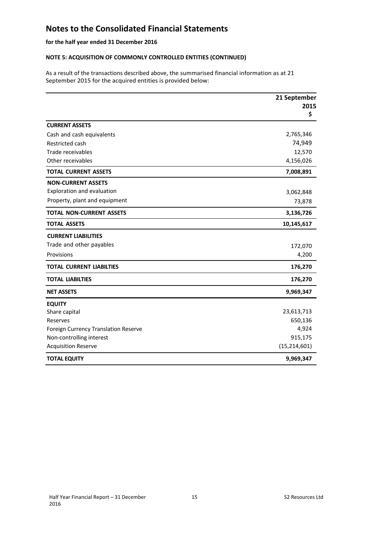# **for the half year ended 31 December 2016**

## **NOTE 5: ACQUISITION OF COMMONLY CONTROLLED ENTITIES (CONTINUED)**

As a result of the transactions described above, the summarised financial information as at 21 September 2015 for the acquired entities is provided below:

|                                      | 21 September<br>2015<br>\$ |
|--------------------------------------|----------------------------|
| <b>CURRENT ASSETS</b>                |                            |
| Cash and cash equivalents            | 2,765,346                  |
| Restricted cash                      | 74,949                     |
| Trade receivables                    | 12,570                     |
| Other receivables                    | 4,156,026                  |
| <b>TOTAL CURRENT ASSETS</b>          | 7,008,891                  |
| <b>NON-CURRENT ASSETS</b>            |                            |
| Exploration and evaluation           | 3,062,848                  |
| Property, plant and equipment        | 73,878                     |
| <b>TOTAL NON-CURRENT ASSETS</b>      | 3,136,726                  |
| <b>TOTAL ASSETS</b>                  | 10,145,617                 |
| <b>CURRENT LIABILITIES</b>           |                            |
| Trade and other payables             | 172,070                    |
| Provisions                           | 4,200                      |
| <b>TOTAL CURRENT LIABILTIES</b>      | 176,270                    |
| <b>TOTAL LIABILTIES</b>              | 176,270                    |
| <b>NET ASSETS</b>                    | 9,969,347                  |
| <b>EQUITY</b>                        |                            |
| Share capital                        | 23,613,713                 |
| Reserves                             | 650,136                    |
| Foreign Currency Translation Reserve | 4,924                      |
| Non-controlling interest             | 915,175                    |
| <b>Acquisition Reserve</b>           | (15, 214, 601)             |
| <b>TOTAL EQUITY</b>                  | 9,969,347                  |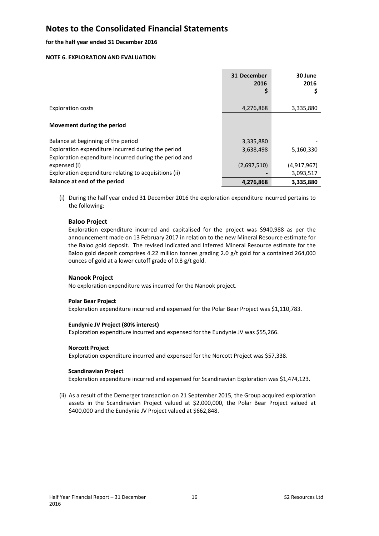### **for the half year ended 31 December 2016**

### **NOTE 6. EXPLORATION AND EVALUATION**

|                                                        | 31 December<br>2016 | 30 June<br>2016 |
|--------------------------------------------------------|---------------------|-----------------|
|                                                        |                     |                 |
| <b>Exploration costs</b>                               | 4,276,868           | 3,335,880       |
|                                                        |                     |                 |
| Movement during the period                             |                     |                 |
| Balance at beginning of the period                     | 3,335,880           |                 |
| Exploration expenditure incurred during the period     | 3,638,498           | 5,160,330       |
| Exploration expenditure incurred during the period and |                     |                 |
| expensed (i)                                           | (2,697,510)         | (4,917,967)     |
| Exploration expenditure relating to acquisitions (ii)  |                     | 3,093,517       |
| Balance at end of the period                           | 4,276,868           | 3,335,880       |

(i) During the half year ended 31 December 2016 the exploration expenditure incurred pertains to the following:

### **Baloo Project**

Exploration expenditure incurred and capitalised for the project was \$940,988 as per the announcement made on 13 February 2017 in relation to the new Mineral Resource estimate for the Baloo gold deposit. The revised Indicated and Inferred Mineral Resource estimate for the Baloo gold deposit comprises 4.22 million tonnes grading 2.0 g/t gold for a contained 264,000 ounces of gold at a lower cutoff grade of 0.8 g/t gold.

### **Nanook Project**

No exploration expenditure was incurred for the Nanook project.

### **Polar Bear Project**

Exploration expenditure incurred and expensed for the Polar Bear Project was \$1,110,783.

### **Eundynie JV Project (80% interest)**

Exploration expenditure incurred and expensed for the Eundynie JV was \$55,266.

### **Norcott Project**

Exploration expenditure incurred and expensed for the Norcott Project was \$57,338.

### **Scandinavian Project**

Exploration expenditure incurred and expensed for Scandinavian Exploration was \$1,474,123.

(ii) As a result of the Demerger transaction on 21 September 2015, the Group acquired exploration assets in the Scandinavian Project valued at \$2,000,000, the Polar Bear Project valued at \$400,000 and the Eundynie JV Project valued at \$662,848.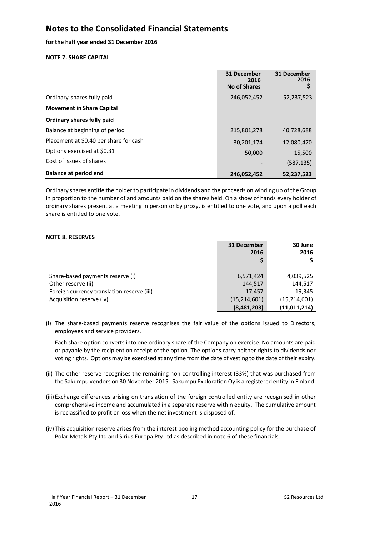### **for the half year ended 31 December 2016**

### **NOTE 7. SHARE CAPITAL**

|                                        | 31 December<br>2016<br><b>No of Shares</b> | 31 December<br>2016<br>\$ |
|----------------------------------------|--------------------------------------------|---------------------------|
| Ordinary shares fully paid             | 246,052,452                                | 52,237,523                |
| <b>Movement in Share Capital</b>       |                                            |                           |
| Ordinary shares fully paid             |                                            |                           |
| Balance at beginning of period         | 215,801,278                                | 40,728,688                |
| Placement at \$0.40 per share for cash | 30,201,174                                 | 12,080,470                |
| Options exercised at \$0.31            | 50,000                                     | 15,500                    |
| Cost of issues of shares               |                                            | (587, 135)                |
| <b>Balance at period end</b>           | 246,052,452                                | 52,237,523                |

Ordinary shares entitle the holder to participate in dividends and the proceeds on winding up of the Group in proportion to the number of and amounts paid on the shares held. On a show of hands every holder of ordinary shares present at a meeting in person or by proxy, is entitled to one vote, and upon a poll each share is entitled to one vote.

### **NOTE 8. RESERVES**

|                                            | 31 December<br>2016 | 30 June<br>2016 |
|--------------------------------------------|---------------------|-----------------|
| Share-based payments reserve (i)           | 6,571,424           | 4,039,525       |
| Other reserve (ii)                         | 144,517             | 144,517         |
| Foreign currency translation reserve (iii) | 17,457              | 19,345          |
| Acquisition reserve (iv)                   | (15, 214, 601)      | (15, 214, 601)  |
|                                            | (8,481,203)         | (11, 011, 214)  |

(i) The share‐based payments reserve recognises the fair value of the options issued to Directors, employees and service providers.

Each share option converts into one ordinary share of the Company on exercise. No amounts are paid or payable by the recipient on receipt of the option. The options carry neither rights to dividends nor voting rights. Options may be exercised at any time from the date of vesting to the date of their expiry.

- (ii) The other reserve recognises the remaining non‐controlling interest (33%) that was purchased from the Sakumpu vendors on 30 November 2015. Sakumpu Exploration Oy is a registered entity in Finland.
- (iii) Exchange differences arising on translation of the foreign controlled entity are recognised in other comprehensive income and accumulated in a separate reserve within equity. The cumulative amount is reclassified to profit or loss when the net investment is disposed of.
- (iv) This acquisition reserve arises from the interest pooling method accounting policy for the purchase of Polar Metals Pty Ltd and Sirius Europa Pty Ltd as described in note 6 of these financials.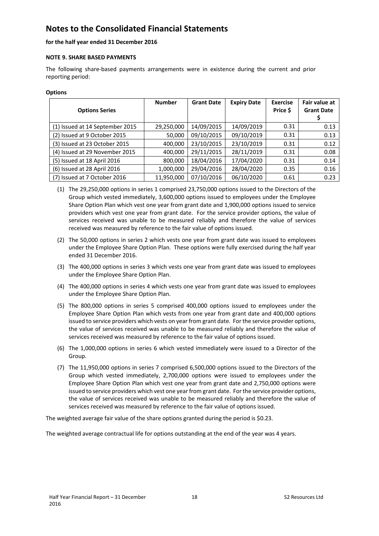### **for the half year ended 31 December 2016**

### **NOTE 9. SHARE BASED PAYMENTS**

The following share-based payments arrangements were in existence during the current and prior reporting period:

#### **Options**

| <b>Options Series</b>           | <b>Number</b> | <b>Grant Date</b> | <b>Expiry Date</b> | <b>Exercise</b><br>Price \$ | Fair value at<br><b>Grant Date</b> |
|---------------------------------|---------------|-------------------|--------------------|-----------------------------|------------------------------------|
| (1) Issued at 14 September 2015 | 29,250,000    | 14/09/2015        | 14/09/2019         | 0.31                        | 0.13                               |
| (2) Issued at 9 October 2015    | 50,000        | 09/10/2015        | 09/10/2019         | 0.31                        | 0.13                               |
| (3) Issued at 23 October 2015   | 400,000       | 23/10/2015        | 23/10/2019         | 0.31                        | 0.12                               |
| (4) Issued at 29 November 2015  | 400,000       | 29/11/2015        | 28/11/2019         | 0.31                        | 0.08                               |
| (5) Issued at 18 April 2016     | 800,000       | 18/04/2016        | 17/04/2020         | 0.31                        | 0.14                               |
| (6) Issued at 28 April 2016     | 1,000,000     | 29/04/2016        | 28/04/2020         | 0.35                        | 0.16                               |
| (7) Issued at 7 October 2016    | 11,950,000    | 07/10/2016        | 06/10/2020         | 0.61                        | 0.23                               |

- (1) The 29,250,000 options in series 1 comprised 23,750,000 options issued to the Directors of the Group which vested immediately, 3,600,000 options issued to employees under the Employee Share Option Plan which vest one year from grant date and 1,900,000 options issued to service providers which vest one year from grant date. For the service provider options, the value of services received was unable to be measured reliably and therefore the value of services received was measured by reference to the fair value of options issued.
- (2) The 50,000 options in series 2 which vests one year from grant date was issued to employees under the Employee Share Option Plan. These options were fully exercised during the half year ended 31 December 2016.
- (3) The 400,000 options in series 3 which vests one year from grant date was issued to employees under the Employee Share Option Plan.
- (4) The 400,000 options in series 4 which vests one year from grant date was issued to employees under the Employee Share Option Plan.
- (5) The 800,000 options in series 5 comprised 400,000 options issued to employees under the Employee Share Option Plan which vests from one year from grant date and 400,000 options issued to service providers which vests on year from grant date. For the service provider options, the value of services received was unable to be measured reliably and therefore the value of services received was measured by reference to the fair value of options issued.
- (6) The 1,000,000 options in series 6 which vested immediately were issued to a Director of the Group.
- (7) The 11,950,000 options in series 7 comprised 6,500,000 options issued to the Directors of the Group which vested immediately, 2,700,000 options were issued to employees under the Employee Share Option Plan which vest one year from grant date and 2,750,000 options were issued to service providers which vest one year from grant date. For the service provider options, the value of services received was unable to be measured reliably and therefore the value of services received was measured by reference to the fair value of options issued.

The weighted average fair value of the share options granted during the period is \$0.23.

The weighted average contractual life for options outstanding at the end of the year was 4 years.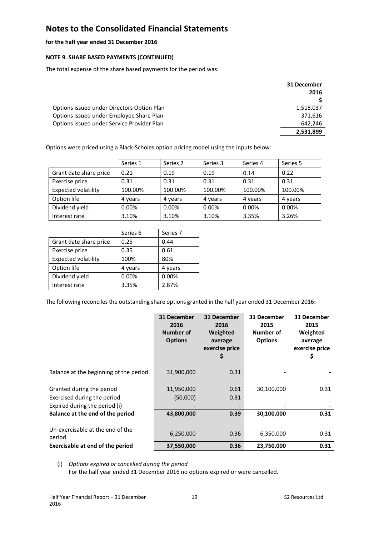### **for the half year ended 31 December 2016**

### **NOTE 9. SHARE BASED PAYMENTS (CONTINUED)**

The total expense of the share based payments for the period was:

|                                            | 31 December |
|--------------------------------------------|-------------|
|                                            | 2016        |
|                                            |             |
| Options issued under Directors Option Plan | 1,518,037   |
| Options issued under Employee Share Plan   | 371,616     |
| Options issued under Service Provider Plan | 642.246     |
|                                            | 2,531,899   |

Options were priced using a Black‐Scholes option pricing model using the inputs below:

|                            | Series 1 | Series 2 | Series 3 | Series 4 | Series 5 |
|----------------------------|----------|----------|----------|----------|----------|
| Grant date share price     | 0.21     | 0.19     | 0.19     | 0.14     | 0.22     |
| Exercise price             | 0.31     | 0.31     | 0.31     | 0.31     | 0.31     |
| <b>Expected volatility</b> | 100.00%  | 100.00%  | 100.00%  | 100.00%  | 100.00%  |
| Option life                | 4 years  | 4 years  | 4 years  | 4 years  | 4 years  |
| Dividend yield             | 0.00%    | 0.00%    | 0.00%    | $0.00\%$ | 0.00%    |
| Interest rate              | 3.10%    | 3.10%    | 3.10%    | 3.35%    | 3.26%    |

|                            | Series 6 | Series <sub>7</sub> |
|----------------------------|----------|---------------------|
| Grant date share price     | 0.25     | 0.44                |
| Exercise price             | 0.35     | 0.61                |
| <b>Expected volatility</b> | 100%     | 80%                 |
| Option life                | 4 years  | 4 years             |
| Dividend yield             | 0.00%    | 0.00%               |
| Interest rate              | 3.35%    | 2.87%               |

The following reconciles the outstanding share options granted in the half year ended 31 December 2016:

|                                            | 31 December<br>2016<br>Number of<br><b>Options</b> | 31 December<br>2016<br>Weighted<br>average<br>exercise price<br>\$ | 31 December<br>2015<br>Number of<br><b>Options</b> | 31 December<br>2015<br>Weighted<br>average<br>exercise price<br>\$ |
|--------------------------------------------|----------------------------------------------------|--------------------------------------------------------------------|----------------------------------------------------|--------------------------------------------------------------------|
| Balance at the beginning of the period     | 31,900,000                                         | 0.31                                                               |                                                    |                                                                    |
| Granted during the period                  | 11,950,000                                         | 0.61                                                               | 30,100,000                                         | 0.31                                                               |
| Exercised during the period                | (50,000)                                           | 0.31                                                               |                                                    |                                                                    |
| Expired during the period (i)              |                                                    |                                                                    |                                                    |                                                                    |
| Balance at the end of the period           | 43,800,000                                         | 0.39                                                               | 30,100,000                                         | 0.31                                                               |
| Un-exercisable at the end of the<br>period | 6,250,000                                          | 0.36                                                               | 6,350,000                                          | 0.31                                                               |
| Exercisable at end of the period           | 37,550,000                                         | 0.36                                                               | 23,750,000                                         | 0.31                                                               |

(i) *Options expired or cancelled during the period*

For the half year ended 31 December 2016 no options expired or were cancelled.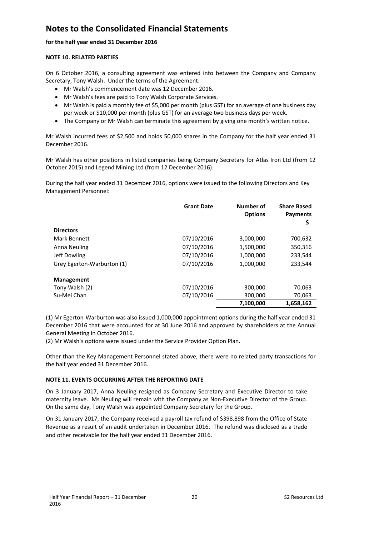### **for the half year ended 31 December 2016**

### **NOTE 10. RELATED PARTIES**

On 6 October 2016, a consulting agreement was entered into between the Company and Company Secretary, Tony Walsh. Under the terms of the Agreement:

- Mr Walsh's commencement date was 12 December 2016.
- Mr Walsh's fees are paid to Tony Walsh Corporate Services.
- Mr Walsh is paid a monthly fee of \$5,000 per month (plus GST) for an average of one business day per week or \$10,000 per month (plus GST) for an average two business days per week.
- The Company or Mr Walsh can terminate this agreement by giving one month's written notice.

Mr Walsh incurred fees of \$2,500 and holds 50,000 shares in the Company for the half year ended 31 December 2016.

Mr Walsh has other positions in listed companies being Company Secretary for Atlas Iron Ltd (from 12 October 2015) and Legend Mining Ltd (from 12 December 2016).

During the half year ended 31 December 2016, options were issued to the following Directors and Key Management Personnel:

|                            | <b>Grant Date</b> | Number of<br><b>Options</b> | <b>Share Based</b><br><b>Payments</b><br>Ş |
|----------------------------|-------------------|-----------------------------|--------------------------------------------|
| <b>Directors</b>           |                   |                             |                                            |
| Mark Bennett               | 07/10/2016        | 3,000,000                   | 700,632                                    |
| Anna Neuling               | 07/10/2016        | 1,500,000                   | 350,316                                    |
| Jeff Dowling               | 07/10/2016        | 1,000,000                   | 233,544                                    |
| Grey Egerton-Warburton (1) | 07/10/2016        | 1,000,000                   | 233,544                                    |
| <b>Management</b>          |                   |                             |                                            |
| Tony Walsh (2)             | 07/10/2016        | 300,000                     | 70,063                                     |
| Su-Mei Chan                | 07/10/2016        | 300,000                     | 70,063                                     |
|                            |                   | 7,100,000                   | 1,658,162                                  |

(1) Mr Egerton‐Warburton was also issued 1,000,000 appointment options during the half year ended 31 December 2016 that were accounted for at 30 June 2016 and approved by shareholders at the Annual General Meeting in October 2016.

(2) Mr Walsh's options were issued under the Service Provider Option Plan.

Other than the Key Management Personnel stated above, there were no related party transactions for the half year ended 31 December 2016.

## **NOTE 11. EVENTS OCCURRING AFTER THE REPORTING DATE**

On 3 January 2017, Anna Neuling resigned as Company Secretary and Executive Director to take maternity leave. Ms Neuling will remain with the Company as Non-Executive Director of the Group. On the same day, Tony Walsh was appointed Company Secretary for the Group.

On 31 January 2017, the Company received a payroll tax refund of \$398,898 from the Office of State Revenue as a result of an audit undertaken in December 2016. The refund was disclosed as a trade and other receivable for the half year ended 31 December 2016.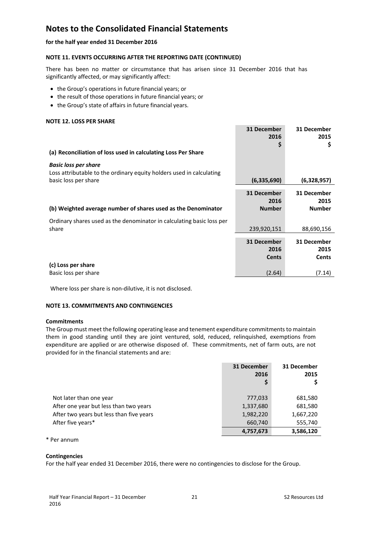**for the half year ended 31 December 2016** 

### **NOTE 11. EVENTS OCCURRING AFTER THE REPORTING DATE (CONTINUED)**

There has been no matter or circumstance that has arisen since 31 December 2016 that has significantly affected, or may significantly affect:

- the Group's operations in future financial years; or
- the result of those operations in future financial years; or
- the Group's state of affairs in future financial years.

#### **NOTE 12. LOSS PER SHARE**

| (a) Reconciliation of loss used in calculating Loss Per Share                                                               | 31 December<br>2016<br>\$            | 31 December<br>2015<br>\$            |
|-----------------------------------------------------------------------------------------------------------------------------|--------------------------------------|--------------------------------------|
| <b>Basic loss per share</b><br>Loss attributable to the ordinary equity holders used in calculating<br>basic loss per share | (6,335,690)                          | (6,328,957)                          |
| (b) Weighted average number of shares used as the Denominator                                                               | 31 December<br>2016<br><b>Number</b> | 31 December<br>2015<br><b>Number</b> |
| Ordinary shares used as the denominator in calculating basic loss per<br>share                                              | 239,920,151                          | 88,690,156                           |
| (c) Loss per share                                                                                                          | 31 December<br>2016<br><b>Cents</b>  | 31 December<br>2015<br><b>Cents</b>  |
| Basic loss per share                                                                                                        | (2.64)                               | (7.14)                               |

Where loss per share is non-dilutive, it is not disclosed.

### **NOTE 13. COMMITMENTS AND CONTINGENCIES**

#### **Commitments**

The Group must meet the following operating lease and tenement expenditure commitments to maintain them in good standing until they are joint ventured, sold, reduced, relinquished, exemptions from expenditure are applied or are otherwise disposed of. These commitments, net of farm outs, are not provided for in the financial statements and are:

|                                          | 31 December<br>2016 | 31 December<br>2015 |
|------------------------------------------|---------------------|---------------------|
| Not later than one year                  | 777,033             | 681,580             |
| After one year but less than two years   | 1,337,680           | 681,580             |
| After two years but less than five years | 1,982,220           | 1,667,220           |
| After five years*                        | 660,740             | 555,740             |
|                                          | 4,757,673           | 3,586,120           |

\* Per annum

### **Contingencies**

For the half year ended 31 December 2016, there were no contingencies to disclose for the Group.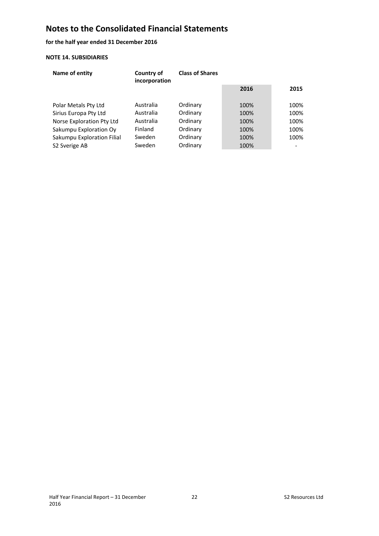**for the half year ended 31 December 2016** 

### **NOTE 14. SUBSIDIARIES**

| Name of entity             | Country of<br>incorporation | <b>Class of Shares</b> |      |      |
|----------------------------|-----------------------------|------------------------|------|------|
|                            |                             |                        | 2016 | 2015 |
| Polar Metals Pty Ltd       | Australia                   | Ordinary               | 100% | 100% |
| Sirius Europa Pty Ltd      | Australia                   | Ordinary               | 100% | 100% |
| Norse Exploration Pty Ltd  | Australia                   | Ordinary               | 100% | 100% |
| Sakumpu Exploration Oy     | <b>Finland</b>              | Ordinary               | 100% | 100% |
| Sakumpu Exploration Filial | Sweden                      | Ordinary               | 100% | 100% |
| S <sub>2</sub> Sverige AB  | Sweden                      | Ordinary               | 100% |      |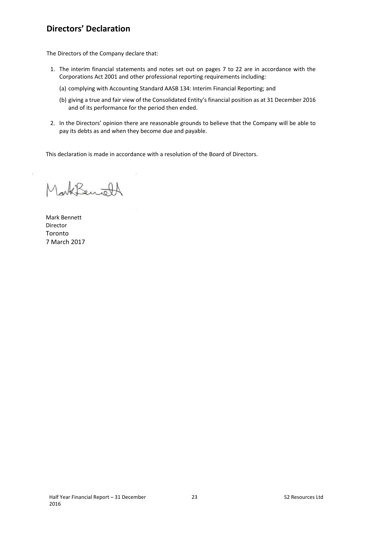# **Directors' Declaration**

The Directors of the Company declare that:

- 1. The interim financial statements and notes set out on pages 7 to 22 are in accordance with the Corporations Act 2001 and other professional reporting requirements including:
	- (a) complying with Accounting Standard AASB 134: Interim Financial Reporting; and
	- (b) giving a true and fair view of the Consolidated Entity's financial position as at 31 December 2016 and of its performance for the period then ended.
- 2. In the Directors' opinion there are reasonable grounds to believe that the Company will be able to pay its debts as and when they become due and payable.

This declaration is made in accordance with a resolution of the Board of Directors.

Lark Benoft

Mark Bennett Director Toronto 7 March 2017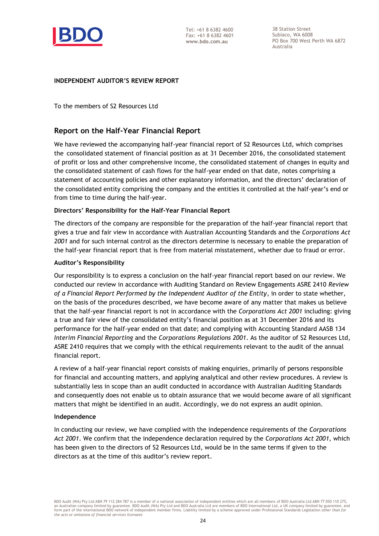

38 Station Street Subiaco, WA 6008 PO Box 700 West Perth WA 6872 Australia

## **INDEPENDENT AUDITOR'S REVIEW REPORT**

To the members of S2 Resources Ltd

# **Report on the Half-Year Financial Report**

We have reviewed the accompanying half-year financial report of S2 Resources Ltd, which comprises the consolidated statement of financial position as at 31 December 2016, the consolidated statement of profit or loss and other comprehensive income, the consolidated statement of changes in equity and the consolidated statement of cash flows for the half-year ended on that date, notes comprising a statement of accounting policies and other explanatory information, and the directors' declaration of the consolidated entity comprising the company and the entities it controlled at the half-year's end or from time to time during the half-year.

## **Directors' Responsibility for the Half-Year Financial Report**

The directors of the company are responsible for the preparation of the half-year financial report that gives a true and fair view in accordance with Australian Accounting Standards and the *Corporations Act 2001* and for such internal control as the directors determine is necessary to enable the preparation of the half-year financial report that is free from material misstatement, whether due to fraud or error.

## **Auditor's Responsibility**

Our responsibility is to express a conclusion on the half-year financial report based on our review. We conducted our review in accordance with Auditing Standard on Review Engagements ASRE 2410 *Review of a Financial Report Performed by the Independent Auditor of the Entity*, in order to state whether, on the basis of the procedures described, we have become aware of any matter that makes us believe that the half-year financial report is not in accordance with the *Corporations Act 2001* including: giving a true and fair view of the consolidated entity's financial position as at 31 December 2016 and its performance for the half-year ended on that date; and complying with Accounting Standard AASB 134 *Interim Financial Reporting* and the *Corporations Regulations 2001*. As the auditor of S2 Resources Ltd, ASRE 2410 requires that we comply with the ethical requirements relevant to the audit of the annual financial report.

A review of a half-year financial report consists of making enquiries, primarily of persons responsible for financial and accounting matters, and applying analytical and other review procedures. A review is substantially less in scope than an audit conducted in accordance with Australian Auditing Standards and consequently does not enable us to obtain assurance that we would become aware of all significant matters that might be identified in an audit. Accordingly, we do not express an audit opinion.

### **Independence**

In conducting our review, we have complied with the independence requirements of the *Corporations Act 2001*. We confirm that the independence declaration required by the *Corporations Act 2001,* which has been given to the directors of S2 Resources Ltd, would be in the same terms if given to the directors as at the time of this auditor's review report.